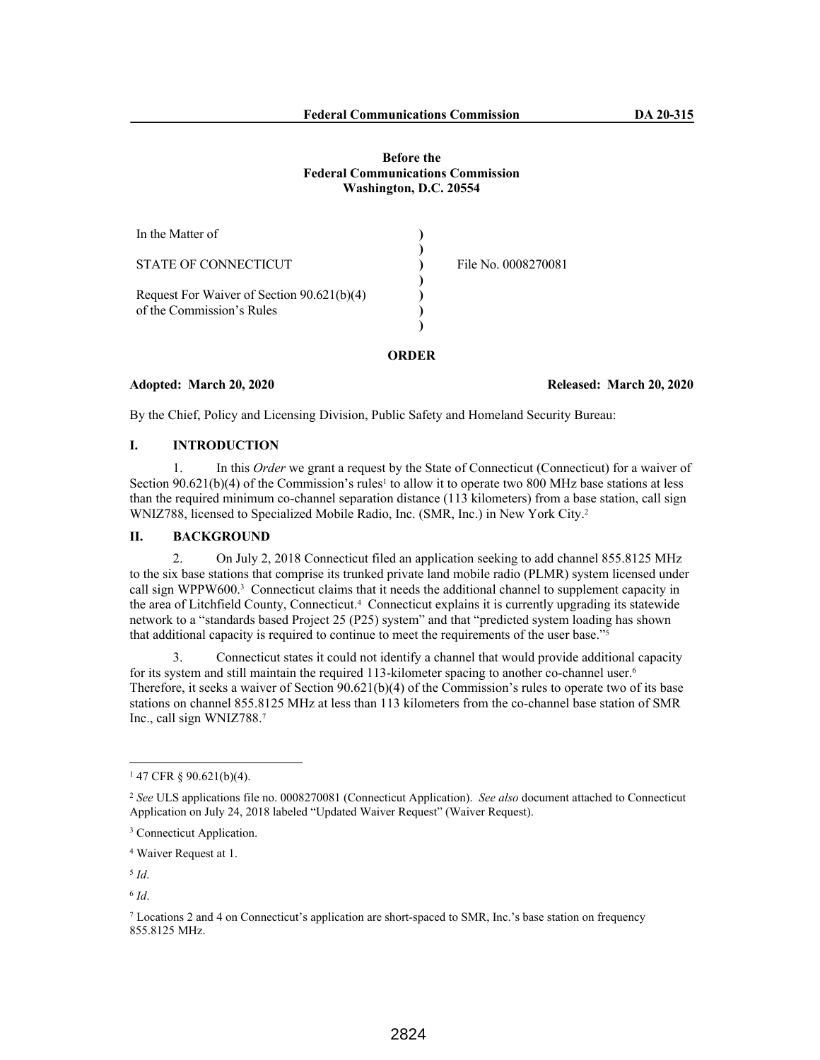### **Before the Federal Communications Commission Washington, D.C. 20554**

| In the Matter of                                                        |                     |
|-------------------------------------------------------------------------|---------------------|
| STATE OF CONNECTICUT                                                    | File No. 0008270081 |
| Request For Waiver of Section 90.621(b)(4)<br>of the Commission's Rules |                     |
|                                                                         |                     |

#### **Adopted: March 20, 2020 Released: March 20, 2020**

By the Chief, Policy and Licensing Division, Public Safety and Homeland Security Bureau:

# **I. INTRODUCTION**

1. In this *Order* we grant a request by the State of Connecticut (Connecticut) for a waiver of Section  $90.621(b)(4)$  of the Commission's rules<sup>1</sup> to allow it to operate two 800 MHz base stations at less than the required minimum co-channel separation distance (113 kilometers) from a base station, call sign WNIZ788, licensed to Specialized Mobile Radio, Inc. (SMR, Inc.) in New York City.<sup>2</sup>

## **II. BACKGROUND**

2. On July 2, 2018 Connecticut filed an application seeking to add channel 855.8125 MHz to the six base stations that comprise its trunked private land mobile radio (PLMR) system licensed under call sign WPPW600.<sup>3</sup> Connecticut claims that it needs the additional channel to supplement capacity in the area of Litchfield County, Connecticut.<sup>4</sup> Connecticut explains it is currently upgrading its statewide network to a "standards based Project 25 (P25) system" and that "predicted system loading has shown that additional capacity is required to continue to meet the requirements of the user base."<sup>5</sup>

3. Connecticut states it could not identify a channel that would provide additional capacity for its system and still maintain the required 113-kilometer spacing to another co-channel user.<sup>6</sup> Therefore, it seeks a waiver of Section 90.621(b)(4) of the Commission's rules to operate two of its base stations on channel 855.8125 MHz at less than 113 kilometers from the co-channel base station of SMR Inc., call sign WNIZ788.<sup>7</sup>

5 *Id*.

 $147$  CFR § 90.621(b)(4).

<sup>2</sup> *See* ULS applications file no. 0008270081 (Connecticut Application). *See also* document attached to Connecticut Application on July 24, 2018 labeled "Updated Waiver Request" (Waiver Request).

<sup>3</sup> Connecticut Application.

<sup>4</sup> Waiver Request at 1.

<sup>6</sup> *Id*.

<sup>7</sup> Locations 2 and 4 on Connecticut's application are short-spaced to SMR, Inc.'s base station on frequency 855.8125 MHz.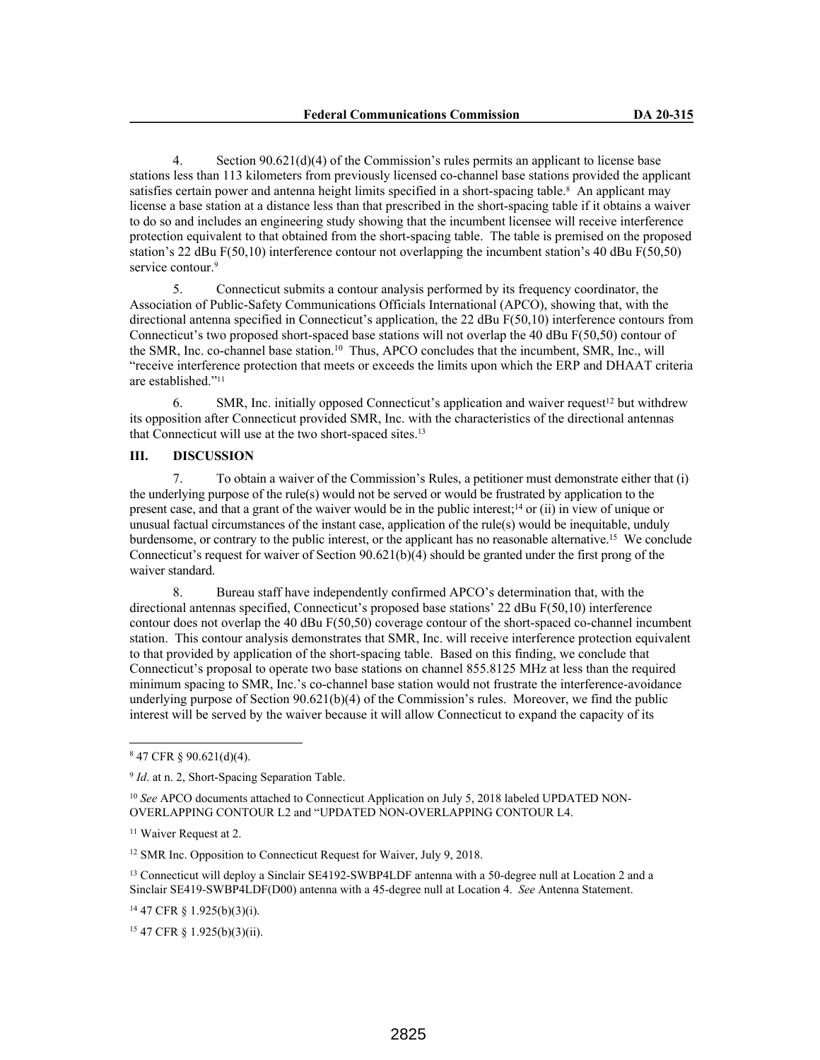4. Section 90.621(d)(4) of the Commission's rules permits an applicant to license base stations less than 113 kilometers from previously licensed co-channel base stations provided the applicant satisfies certain power and antenna height limits specified in a short-spacing table.<sup>8</sup> An applicant may license a base station at a distance less than that prescribed in the short-spacing table if it obtains a waiver to do so and includes an engineering study showing that the incumbent licensee will receive interference protection equivalent to that obtained from the short-spacing table. The table is premised on the proposed station's 22 dBu F(50,10) interference contour not overlapping the incumbent station's 40 dBu F(50,50) service contour.<sup>9</sup>

5. Connecticut submits a contour analysis performed by its frequency coordinator, the Association of Public-Safety Communications Officials International (APCO), showing that, with the directional antenna specified in Connecticut's application, the 22 dBu F(50,10) interference contours from Connecticut's two proposed short-spaced base stations will not overlap the 40 dBu F(50,50) contour of the SMR, Inc. co-channel base station.<sup>10</sup> Thus, APCO concludes that the incumbent, SMR, Inc., will "receive interference protection that meets or exceeds the limits upon which the ERP and DHAAT criteria are established."<sup>11</sup>

6. SMR, Inc. initially opposed Connecticut's application and waiver request<sup>12</sup> but withdrew its opposition after Connecticut provided SMR, Inc. with the characteristics of the directional antennas that Connecticut will use at the two short-spaced sites.<sup>13</sup>

### **III. DISCUSSION**

7. To obtain a waiver of the Commission's Rules, a petitioner must demonstrate either that (i) the underlying purpose of the rule(s) would not be served or would be frustrated by application to the present case, and that a grant of the waiver would be in the public interest;<sup>14</sup> or (ii) in view of unique or unusual factual circumstances of the instant case, application of the rule(s) would be inequitable, unduly burdensome, or contrary to the public interest, or the applicant has no reasonable alternative.<sup>15</sup> We conclude Connecticut's request for waiver of Section 90.621(b)(4) should be granted under the first prong of the waiver standard.

8. Bureau staff have independently confirmed APCO's determination that, with the directional antennas specified, Connecticut's proposed base stations' 22 dBu F(50,10) interference contour does not overlap the 40 dBu F(50,50) coverage contour of the short-spaced co-channel incumbent station. This contour analysis demonstrates that SMR, Inc. will receive interference protection equivalent to that provided by application of the short-spacing table. Based on this finding, we conclude that Connecticut's proposal to operate two base stations on channel 855.8125 MHz at less than the required minimum spacing to SMR, Inc.'s co-channel base station would not frustrate the interference-avoidance underlying purpose of Section 90.621(b)(4) of the Commission's rules. Moreover, we find the public interest will be served by the waiver because it will allow Connecticut to expand the capacity of its

<sup>13</sup> Connecticut will deploy a Sinclair SE4192-SWBP4LDF antenna with a 50-degree null at Location 2 and a Sinclair SE419-SWBP4LDF(D00) antenna with a 45-degree null at Location 4. *See* Antenna Statement.

<sup>14</sup> 47 CFR § 1.925(b)(3)(i).

<sup>15</sup> 47 CFR § 1.925(b)(3)(ii).

<sup>8</sup> 47 CFR § 90.621(d)(4).

<sup>&</sup>lt;sup>9</sup> *Id*. at n. 2, Short-Spacing Separation Table.

<sup>10</sup> *See* APCO documents attached to Connecticut Application on July 5, 2018 labeled UPDATED NON-OVERLAPPING CONTOUR L2 and "UPDATED NON-OVERLAPPING CONTOUR L4.

<sup>11</sup> Waiver Request at 2.

<sup>12</sup> SMR Inc. Opposition to Connecticut Request for Waiver, July 9, 2018.